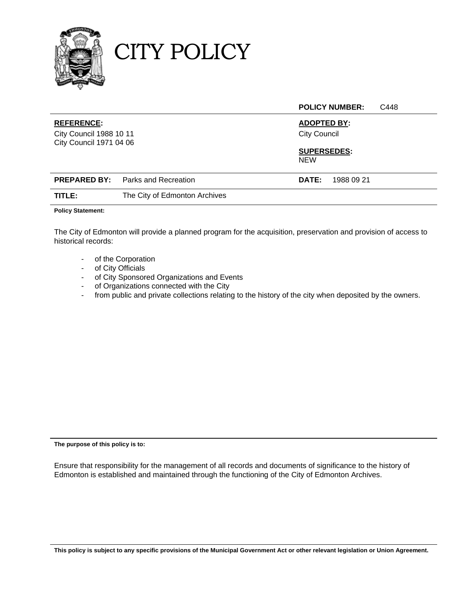

CITY POLICY

|                                                                                |                               |                                                                               | <b>POLICY NUMBER:</b> | C448 |
|--------------------------------------------------------------------------------|-------------------------------|-------------------------------------------------------------------------------|-----------------------|------|
| <b>REFERENCE:</b><br><b>City Council 1988 10 11</b><br>City Council 1971 04 06 |                               | <b>ADOPTED BY:</b><br><b>City Council</b><br><b>SUPERSEDES:</b><br><b>NEW</b> |                       |      |
| <b>PREPARED BY:</b>                                                            | Parks and Recreation          | DATE:                                                                         | 1988 09 21            |      |
| TITLE:                                                                         | The City of Edmonton Archives |                                                                               |                       |      |

#### **Policy Statement:**

The City of Edmonton will provide a planned program for the acquisition, preservation and provision of access to historical records:

- of the Corporation
- of City Officials
- of City Sponsored Organizations and Events
- of Organizations connected with the City
- from public and private collections relating to the history of the city when deposited by the owners.

**The purpose of this policy is to:** 

Ensure that responsibility for the management of all records and documents of significance to the history of Edmonton is established and maintained through the functioning of the City of Edmonton Archives.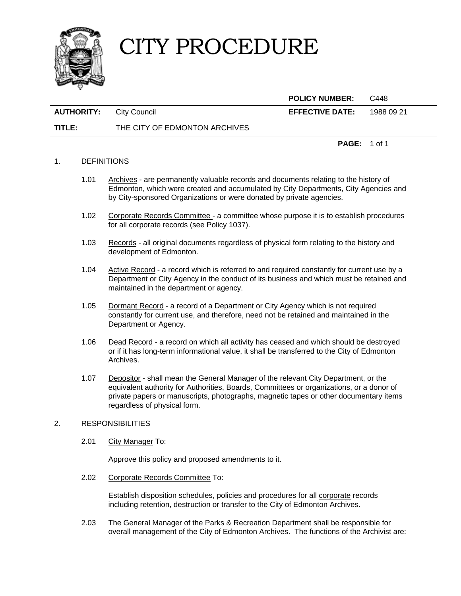

 **POLICY NUMBER:** C448 **AUTHORITY:** City Council **EFFECTIVE DATE:** 1988 09 21 **TITLE:** THE CITY OF EDMONTON ARCHIVES

#### 1. DEFINITIONS

- 1.01 Archives are permanently valuable records and documents relating to the history of Edmonton, which were created and accumulated by City Departments, City Agencies and by City-sponsored Organizations or were donated by private agencies.
- 1.02 Corporate Records Committee a committee whose purpose it is to establish procedures for all corporate records (see Policy 1037).
- 1.03 Records all original documents regardless of physical form relating to the history and development of Edmonton.
- 1.04 Active Record a record which is referred to and required constantly for current use by a Department or City Agency in the conduct of its business and which must be retained and maintained in the department or agency.
- 1.05 Dormant Record a record of a Department or City Agency which is not required constantly for current use, and therefore, need not be retained and maintained in the Department or Agency.
- 1.06 Dead Record a record on which all activity has ceased and which should be destroyed or if it has long-term informational value, it shall be transferred to the City of Edmonton Archives.
- 1.07 Depositor shall mean the General Manager of the relevant City Department, or the equivalent authority for Authorities, Boards, Committees or organizations, or a donor of private papers or manuscripts, photographs, magnetic tapes or other documentary items regardless of physical form.

### 2. RESPONSIBILITIES

2.01 City Manager To:

Approve this policy and proposed amendments to it.

2.02 Corporate Records Committee To:

 Establish disposition schedules, policies and procedures for all corporate records including retention, destruction or transfer to the City of Edmonton Archives.

 2.03 The General Manager of the Parks & Recreation Department shall be responsible for overall management of the City of Edmonton Archives. The functions of the Archivist are:

**PAGE:** 1 of 1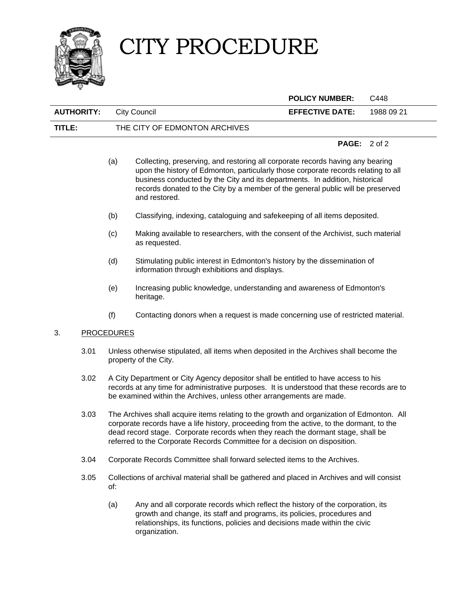

|                   |                                                                                                                         |                                                                                                                                                                                                                                                           |                                                                                                                                                                                                                                                                                                                                                         | <b>POLICY NUMBER:</b>  | C448       |
|-------------------|-------------------------------------------------------------------------------------------------------------------------|-----------------------------------------------------------------------------------------------------------------------------------------------------------------------------------------------------------------------------------------------------------|---------------------------------------------------------------------------------------------------------------------------------------------------------------------------------------------------------------------------------------------------------------------------------------------------------------------------------------------------------|------------------------|------------|
| <b>AUTHORITY:</b> |                                                                                                                         |                                                                                                                                                                                                                                                           | <b>City Council</b>                                                                                                                                                                                                                                                                                                                                     | <b>EFFECTIVE DATE:</b> | 1988 09 21 |
| TITLE:            |                                                                                                                         |                                                                                                                                                                                                                                                           | THE CITY OF EDMONTON ARCHIVES                                                                                                                                                                                                                                                                                                                           |                        |            |
|                   |                                                                                                                         |                                                                                                                                                                                                                                                           |                                                                                                                                                                                                                                                                                                                                                         | <b>PAGE:</b>           | 2 of 2     |
|                   |                                                                                                                         | (a)                                                                                                                                                                                                                                                       | Collecting, preserving, and restoring all corporate records having any bearing<br>upon the history of Edmonton, particularly those corporate records relating to all<br>business conducted by the City and its departments. In addition, historical<br>records donated to the City by a member of the general public will be preserved<br>and restored. |                        |            |
|                   |                                                                                                                         | (b)                                                                                                                                                                                                                                                       | Classifying, indexing, cataloguing and safekeeping of all items deposited.                                                                                                                                                                                                                                                                              |                        |            |
|                   |                                                                                                                         | (c)                                                                                                                                                                                                                                                       | Making available to researchers, with the consent of the Archivist, such material<br>as requested.                                                                                                                                                                                                                                                      |                        |            |
|                   |                                                                                                                         | (d)                                                                                                                                                                                                                                                       | Stimulating public interest in Edmonton's history by the dissemination of<br>information through exhibitions and displays.                                                                                                                                                                                                                              |                        |            |
|                   |                                                                                                                         | (e)                                                                                                                                                                                                                                                       | Increasing public knowledge, understanding and awareness of Edmonton's<br>heritage.                                                                                                                                                                                                                                                                     |                        |            |
|                   |                                                                                                                         | (f)                                                                                                                                                                                                                                                       | Contacting donors when a request is made concerning use of restricted material.                                                                                                                                                                                                                                                                         |                        |            |
| 3.                | <b>PROCEDURES</b>                                                                                                       |                                                                                                                                                                                                                                                           |                                                                                                                                                                                                                                                                                                                                                         |                        |            |
|                   | 3.01<br>Unless otherwise stipulated, all items when deposited in the Archives shall become the<br>property of the City. |                                                                                                                                                                                                                                                           |                                                                                                                                                                                                                                                                                                                                                         |                        |            |
|                   | 3.02                                                                                                                    | A City Department or City Agency depositor shall be entitled to have access to his<br>records at any time for administrative purposes. It is understood that these records are to<br>be examined within the Archives, unless other arrangements are made. |                                                                                                                                                                                                                                                                                                                                                         |                        |            |
|                   | 3.03.                                                                                                                   |                                                                                                                                                                                                                                                           | The Archives shall acquire items relating to the growth and organization of Edmonton. All                                                                                                                                                                                                                                                               |                        |            |

- 3.03 The Archives shall acquire items relating to the growth and organization of Edmonton. All corporate records have a life history, proceeding from the active, to the dormant, to the dead record stage. Corporate records when they reach the dormant stage, shall be referred to the Corporate Records Committee for a decision on disposition.
- 3.04 Corporate Records Committee shall forward selected items to the Archives.
- 3.05 Collections of archival material shall be gathered and placed in Archives and will consist of:
	- (a) Any and all corporate records which reflect the history of the corporation, its growth and change, its staff and programs, its policies, procedures and relationships, its functions, policies and decisions made within the civic organization.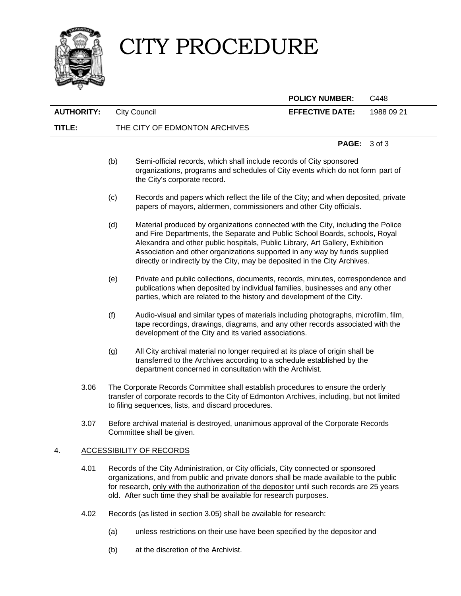

|                                       |      |                                                                                                                                                                                                                                                                                                                                                    |                                                                                                                                                                                                                                                                                                                                                                                                              | <b>POLICY NUMBER:</b>                                                                                                                                     | C448       |  |
|---------------------------------------|------|----------------------------------------------------------------------------------------------------------------------------------------------------------------------------------------------------------------------------------------------------------------------------------------------------------------------------------------------------|--------------------------------------------------------------------------------------------------------------------------------------------------------------------------------------------------------------------------------------------------------------------------------------------------------------------------------------------------------------------------------------------------------------|-----------------------------------------------------------------------------------------------------------------------------------------------------------|------------|--|
| <b>AUTHORITY:</b>                     |      |                                                                                                                                                                                                                                                                                                                                                    | <b>City Council</b>                                                                                                                                                                                                                                                                                                                                                                                          | <b>EFFECTIVE DATE:</b>                                                                                                                                    | 1988 09 21 |  |
| TITLE:                                |      |                                                                                                                                                                                                                                                                                                                                                    | THE CITY OF EDMONTON ARCHIVES                                                                                                                                                                                                                                                                                                                                                                                |                                                                                                                                                           |            |  |
|                                       |      |                                                                                                                                                                                                                                                                                                                                                    |                                                                                                                                                                                                                                                                                                                                                                                                              | PAGE:                                                                                                                                                     | 3 of 3     |  |
|                                       |      | (b)                                                                                                                                                                                                                                                                                                                                                | Semi-official records, which shall include records of City sponsored<br>organizations, programs and schedules of City events which do not form part of<br>the City's corporate record.                                                                                                                                                                                                                       |                                                                                                                                                           |            |  |
|                                       |      | (c)                                                                                                                                                                                                                                                                                                                                                |                                                                                                                                                                                                                                                                                                                                                                                                              | Records and papers which reflect the life of the City; and when deposited, private<br>papers of mayors, aldermen, commissioners and other City officials. |            |  |
|                                       |      | (d)                                                                                                                                                                                                                                                                                                                                                | Material produced by organizations connected with the City, including the Police<br>and Fire Departments, the Separate and Public School Boards, schools, Royal<br>Alexandra and other public hospitals, Public Library, Art Gallery, Exhibition<br>Association and other organizations supported in any way by funds supplied<br>directly or indirectly by the City, may be deposited in the City Archives. |                                                                                                                                                           |            |  |
|                                       |      | (e)                                                                                                                                                                                                                                                                                                                                                | Private and public collections, documents, records, minutes, correspondence and<br>publications when deposited by individual families, businesses and any other<br>parties, which are related to the history and development of the City.                                                                                                                                                                    |                                                                                                                                                           |            |  |
|                                       |      | (f)                                                                                                                                                                                                                                                                                                                                                | Audio-visual and similar types of materials including photographs, microfilm, film,<br>tape recordings, drawings, diagrams, and any other records associated with the<br>development of the City and its varied associations.                                                                                                                                                                                |                                                                                                                                                           |            |  |
|                                       |      | (g)                                                                                                                                                                                                                                                                                                                                                | All City archival material no longer required at its place of origin shall be<br>transferred to the Archives according to a schedule established by the<br>department concerned in consultation with the Archivist.                                                                                                                                                                                          |                                                                                                                                                           |            |  |
|                                       | 3.06 |                                                                                                                                                                                                                                                                                                                                                    | The Corporate Records Committee shall establish procedures to ensure the orderly<br>transfer of corporate records to the City of Edmonton Archives, including, but not limited<br>to filing sequences, lists, and discard procedures.                                                                                                                                                                        |                                                                                                                                                           |            |  |
|                                       | 3.07 |                                                                                                                                                                                                                                                                                                                                                    | Before archival material is destroyed, unanimous approval of the Corporate Records<br>Committee shall be given.                                                                                                                                                                                                                                                                                              |                                                                                                                                                           |            |  |
| <b>ACCESSIBILITY OF RECORDS</b><br>4. |      |                                                                                                                                                                                                                                                                                                                                                    |                                                                                                                                                                                                                                                                                                                                                                                                              |                                                                                                                                                           |            |  |
|                                       | 4.01 | Records of the City Administration, or City officials, City connected or sponsored<br>organizations, and from public and private donors shall be made available to the public<br>for research, only with the authorization of the depositor until such records are 25 years<br>old. After such time they shall be available for research purposes. |                                                                                                                                                                                                                                                                                                                                                                                                              |                                                                                                                                                           |            |  |
|                                       | 4.02 |                                                                                                                                                                                                                                                                                                                                                    | Records (as listed in section 3.05) shall be available for research:                                                                                                                                                                                                                                                                                                                                         |                                                                                                                                                           |            |  |

- (a) unless restrictions on their use have been specified by the depositor and
- (b) at the discretion of the Archivist.